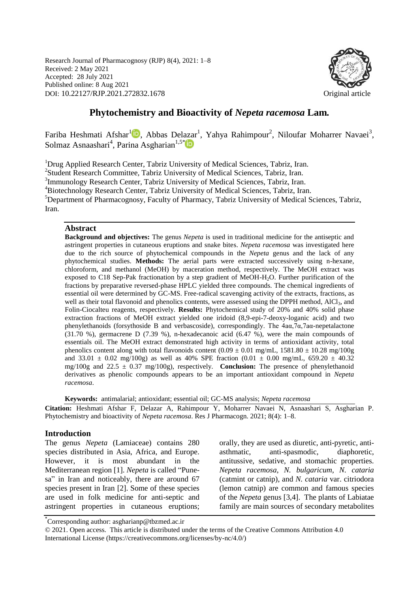Research Journal of Pharmacognosy (RJP) 8(4), 2021: 1–8 Received: 2 May 2021 Accepted: 28 July 2021 Published online: 8 Aug 2021 DOI: 10.22127/RJP.2021.272832.1678 Original article



# **Phytochemistry and Bioactivity of** *Nepeta racemosa* **Lam***.*

Fariba Heshmati Afshar<sup>[1](https://orcid.org/0000-0002-1382-6106)</sup><sup>1</sup>D, Abbas Delazar<sup>1</sup>, Yahya Rahimpour<sup>2</sup>, Niloufar Moharrer Navaei<sup>3</sup>, Solmaz Asnaashari<sup>4</sup>, Parina Asgharian<sup>1,5[\\*](https://orcid.org/0000-0001-9110-8209)</sup>

<sup>1</sup>Drug Applied Research Center, Tabriz University of Medical Sciences, Tabriz, Iran. <sup>2</sup>Student Research Committee, Tabriz University of Medical Sciences, Tabriz, Iran. <sup>3</sup>Immunology Research Center, Tabriz University of Medical Sciences, Tabriz, Iran. <sup>4</sup>Biotechnology Research Center, Tabriz University of Medical Sciences, Tabriz, Iran. <sup>5</sup>Department of Pharmacognosy, Faculty of Pharmacy, Tabriz University of Medical Sciences, Tabriz, Iran.

#### **Abstract**

**Background and objectives:** The genus *Nepeta* is used in traditional medicine for the antiseptic and astringent properties in cutaneous eruptions and snake bites. *Nepeta racemosa* was investigated here due to the rich source of phytochemical compounds in the *Nepeta* genus and the lack of any phytochemical studies. **Methods:** The aerial parts were extracted successively using n-hexane, chloroform, and methanol (MeOH) by maceration method, respectively. The MeOH extract was exposed to C18 Sep-Pak fractionation by a step gradient of MeOH-H2O. Further purification of the fractions by preparative reversed-phase HPLC yielded three compounds. The chemical ingredients of essential oil were determined by GC-MS. Free-radical scavenging activity of the extracts, fractions, as well as their total flavonoid and phenolics contents, were assessed using the DPPH method, AlCl<sub>3</sub>, and Folin-Ciocalteu reagents, respectively. **Results:** Phytochemical study of 20% and 40% solid phase extraction fractions of MeOH extract yielded one iridoid (8,9-epi-7-deoxy-loganic acid) and two phenylethanoids (forsythoside B and verbascoside), correspondingly. The 4aα,7α,7aα-nepetalactone (31.70 %), germacrene D (7.39 %), n-hexadecanoic acid (6.47 %), were the main compounds of essentials oil. The MeOH extract demonstrated high activity in terms of antioxidant activity, total phenolics content along with total flavonoids content  $(0.09 \pm 0.01 \text{ mg/mL}, 1581.80 \pm 10.28 \text{ mg/100g})$ and 33.01  $\pm$  0.02 mg/100g) as well as 40% SPE fraction (0.01  $\pm$  0.00 mg/mL, 659.20  $\pm$  40.32 mg/100g and 22.5 ± 0.37 mg/100g), respectively. **Conclusion:** The presence of phenylethanoid derivatives as phenolic compounds appears to be an important antioxidant compound in *Nepeta racemosa*.

**Keywords:** antimalarial; antioxidant; essential oil; GC-MS analysis; *Nepeta racemosa*

**Citation:** Heshmati Afshar F, Delazar A, Rahimpour Y, Moharrer Navaei N, Asnaashari S, Asgharian P. Phytochemistry and bioactivity of *Nepeta racemosa*. Res J Pharmacogn. 2021; 8(4): 1–8.

## **Introduction**

The genus *Nepeta* (Lamiaceae) contains 280 species distributed in Asia, Africa, and Europe. However, it is most abundant in the Mediterranean region [1]. *Nepeta* is called "Punesa" in Iran and noticeably, there are around 67 species present in Iran [2]. Some of these species are used in folk medicine for anti-septic and astringent properties in cutaneous eruptions; orally, they are used as diuretic, anti-pyretic, antiasthmatic, anti-spasmodic, diaphoretic, antitussive, sedative, and stomachic properties. *Nepeta racemosa*, *N. bulgaricum*, *N. cataria* (catmint or catnip), and *N. cataria* var. citriodora (lemon catnip) are common and famous species of the *Nepeta* genus [3,4]. The plants of Labiatae family are main sources of secondary metabolites

<sup>\*</sup> Corresponding author: asgharianp@tbzmed.ac.ir

<sup>© 2021.</sup> Open access. This article is distributed under the terms of the Creative Commons Attribution 4.0 International License (https://creativecommons.org/licenses/by-nc/4.0/)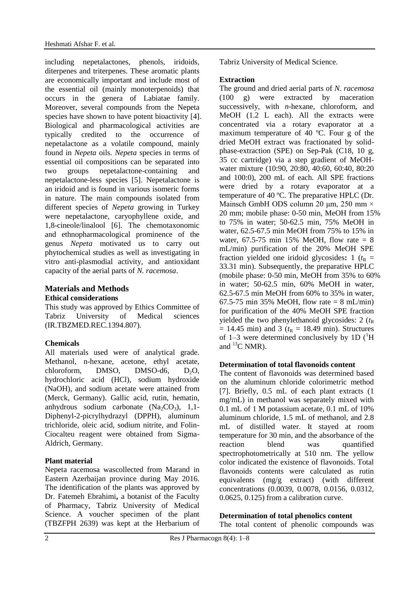including nepetalactones, phenols, iridoids, diterpenes and triterpenes. These aromatic plants are economically important and include most of the essential oil (mainly monoterpenoids) that occurs in the genera of Labiatae family. Moreover, several compounds from the Nepeta species have shown to have potent bioactivity [4]. Biological and pharmacological activities are typically credited to the occurrence of nepetalactone as a volatile compound, mainly found in *Nepeta* oils. *Nepeta* species in terms of essential oil compositions can be separated into two groups nepetalactone-containing and nepetalactone-less species [5]. Nepetalactone is an iridoid and is found in various isomeric forms in nature. The main compounds isolated from different species of *Nepeta* growing in Turkey were nepetalactone, caryophyllene oxide, and 1,8-cineole/linalool [6]. The chemotaxonomic and ethnopharmacological prominence of the genus *Nepeta* motivated us to carry out phytochemical studies as well as investigating in vitro anti-plasmodial activity, and antioxidant capacity of the aerial parts of *N. racemosa*.

## **Materials and Methods Ethical considerations**

This study was approved by Ethics Committee of Tabriz University of Medical sciences (IR.TBZMED.REC.1394.807).

## **Chemicals**

All materials used were of analytical grade. Methanol, n-hexane, acetone, ethyl acetate, chloroform, DMSO, DMSO-d6,  $D_2O$ , hydrochloric acid (HCl), sodium hydroxide (NaOH), and sodium acetate were attained from (Merck, Germany). Gallic acid, rutin, hematin, anhydrous sodium carbonate  $(Na_2CO_3)$ , 1,1-Diphenyl-2-picrylhydrazyl (DPPH), aluminum trichloride, oleic acid, sodium nitrite, and Folin-Ciocalteu reagent were obtained from Sigma-Aldrich, Germany.

## **Plant material**

Nepeta racemosa wascollected from Marand in Eastern Azerbaijan province during May 2016. The identification of the plants was approved by Dr. Fatemeh Ebrahimi**,** a botanist of the Faculty of Pharmacy, Tabriz University of Medical Science. A voucher specimen of the plant (TBZFPH 2639) was kept at the Herbarium of Tabriz University of Medical Science.

## **Extraction**

The ground and dried aerial parts of *N. racemosa* (100 g) were extracted by maceration successively, with *n*-hexane, chloroform, and MeOH (1.2 L each). All the extracts were concentrated via a rotary evaporator at a maximum temperature of 40 ºC. Four g of the dried MeOH extract was fractionated by solidphase-extraction (SPE) on Sep-Pak (C18, 10 g, 35 cc cartridge) via a step gradient of MeOHwater mixture (10:90, 20:80, 40:60, 60:40, 80:20 and 100:0), 200 mL of each. All SPE fractions were dried by a rotary evaporator at a temperature of 40 ºC. The preparative HPLC (Dr. Mainsch GmbH ODS column 20 μm, 250 mm × 20 mm; mobile phase: 0-50 min, MeOH from 15% to 75% in water; 50-62.5 min, 75% MeOH in water, 62.5-67.5 min MeOH from 75% to 15% in water,  $67.5-75$  min 15% MeOH, flow rate = 8 mL/min) purification of the 20% MeOH SPE fraction yielded one iridoid glycosides:  $1 (t_R =$ 33.31 min). Subsequently, the preparative HPLC (mobile phase: 0-50 min, MeOH from 35% to 60% in water; 50-62.5 min, 60% MeOH in water, 62.5-67.5 min MeOH from 60% to 35% in water, 67.5-75 min 35% MeOH, flow rate = 8 mL/min) for purification of the 40% MeOH SPE fraction yielded the two phenylethanoid glycosides:  $2(t<sub>R</sub>)$  $= 14.45$  min) and 3 ( $t<sub>R</sub> = 18.49$  min). Structures of 1–3 were determined conclusively by 1D  $(^1H)$ and  ${}^{13}C$  NMR).

## **Determination of total flavonoids content**

The content of flavonoids was determined based on the aluminum chloride colorimetric method [7]. Briefly, 0.5 mL of each plant extracts (1 mg/mL) in methanol was separately mixed with 0.1 mL of 1 M potassium acetate, 0.1 mL of 10% aluminum chloride, 1.5 mL of methanol, and 2.8 mL of distilled water. It stayed at room temperature for 30 min, and the absorbance of the reaction blend was quantified spectrophotometrically at 510 nm. The yellow color indicated the existence of flavonoids. Total flavonoids contents were calculated as rutin equivalents (mg/g extract) (with different concentrations (0.0039, 0.0078, 0.0156, 0.0312, 0.0625, 0.125) from a calibration curve.

## **Determination of total phenolics content**

The total content of phenolic compounds was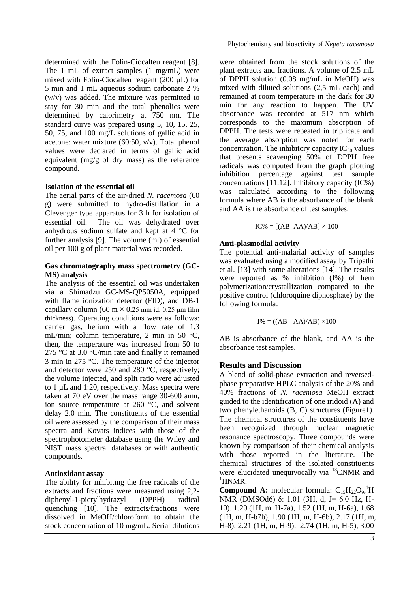determined with the Folin-Ciocalteu reagent [8]. The 1 mL of extract samples (1 mg/mL) were mixed with Folin-Ciocalteu reagent (200 µL) for 5 min and 1 mL aqueous sodium carbonate 2 % (w/v) was added. The mixture was permitted to stay for 30 min and the total phenolics were determined by calorimetry at 750 nm. The standard curve was prepared using 5, 10, 15, 25, 50, 75, and 100 mg/L solutions of gallic acid in acetone: water mixture (60:50, v/v). Total phenol values were declared in terms of gallic acid equivalent (mg/g of dry mass) as the reference compound.

#### **Isolation of the essential oil**

The aerial parts of the air-dried *N. racemosa* (60 g) were submitted to hydro-distillation in a Clevenger type apparatus for 3 h for isolation of essential oil. The oil was dehydrated over anhydrous sodium sulfate and kept at 4 °C for further analysis [9]. The volume (ml) of essential oil per 100 g of plant material was recorded.

#### **Gas chromatography mass spectrometry (GC-MS) analysis**

The analysis of the essential oil was undertaken via a Shimadzu GC-MS-QP5050A, equipped with flame ionization detector (FID), and DB-1 capillary column (60 m  $\times$  0.25 mm id, 0.25 µm film thickness). Operating conditions were as follows: carrier gas, helium with a flow rate of 1.3 mL/min; column temperature, 2 min in 50 °C, then, the temperature was increased from 50 to 275 °C at 3.0 °C/min rate and finally it remained 3 min in 275 °C. The temperature of the injector and detector were 250 and 280 °C, respectively; the volume injected, and split ratio were adjusted to 1 µL and 1:20, respectively. Mass spectra were taken at 70 eV over the mass range 30-600 amu, ion source temperature at 260 °C, and solvent delay 2.0 min. The constituents of the essential oil were assessed by the comparison of their mass spectra and Kovats indices with those of the spectrophotometer database using the Wiley and NIST mass spectral databases or with authentic compounds.

## **Antioxidant assay**

The ability for inhibiting the free radicals of the extracts and fractions were measured using 2,2 diphenyl-1-picrylhydrazyl (DPPH) radical quenching [10]. The extracts/fractions were dissolved in MeOH/chloroform to obtain the stock concentration of 10 mg/mL. Serial dilutions

were obtained from the stock solutions of the plant extracts and fractions. A volume of 2.5 mL of DPPH solution (0.08 mg/mL in MeOH) was mixed with diluted solutions (2,5 mL each) and remained at room temperature in the dark for 30 min for any reaction to happen. The UV absorbance was recorded at 517 nm which corresponds to the maximum absorption of DPPH. The tests were repeated in triplicate and the average absorption was noted for each concentration. The inhibitory capacity  $IC_{50}$  values that presents scavenging 50% of DPPH free radicals was computed from the graph plotting inhibition percentage against test sample concentrations [11,12]. Inhibitory capacity (IC%) was calculated according to the following formula where AB is the absorbance of the blank and AA is the absorbance of test samples.

$$
IC\% = [(AB–AA)/AB] \times 100
$$

# **Anti-plasmodial activity**

The potential anti-malarial activity of samples was evaluated using a modified assay by Tripathi et al. [13] with some alterations [14]. The results were reported as % inhibition (I%) of hem polymerization/crystallization compared to the positive control (chloroquine diphosphate) by the following formula:

$$
I\% = ((AB - AA)/AB) \times 100
$$

AB is absorbance of the blank, and AA is the absorbance test samples.

# **Results and Discussion**

A blend of solid-phase extraction and reversedphase preparative HPLC analysis of the 20% and 40% fractions of *N. racemosa* MeOH extract guided to the identification of one iridoid (A) and two phenylethanoids (B, C) structures (Figure1). The chemical structures of the constituents have been recognized through nuclear magnetic resonance spectroscopy. Three compounds were known by comparison of their chemical analysis with those reported in the literature. The chemical structures of the isolated constituents were elucidated unequivocally via <sup>13</sup>CNMR and  ${}^{1}$ HNMR.

**Compound A:** molecular formula:  $C_{15}H_{22}O_9$ ,<sup>1</sup>H NMR (DMSOd6) δ: 1.01 (3H, d, J= 6.0 Hz, H-10), 1.20 (1H, m, H-7a), 1.52 (1H, m, H-6a), 1.68 (1H, m, H-b7b), 1.90 (1H, m, H-6b), 2.17 (1H, m, H-8), 2.21 (1H, m, H-9), 2.74 (1H, m, H-5), 3.00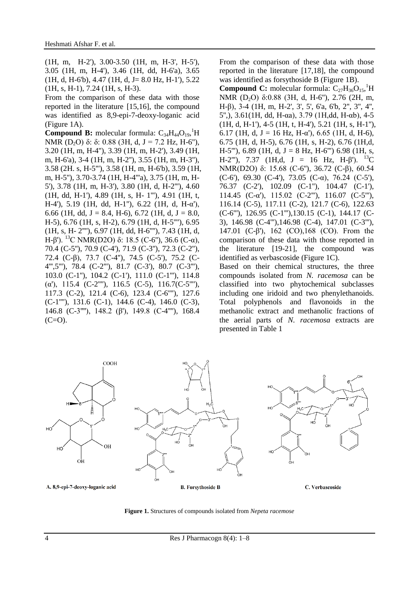(1H, m, H-2'), 3.00-3.50 (1H, m, H-3', H-5'), 3.05 (1H, m, H-4'), 3.46 (1H, dd, H-6'a), 3.65  $(1H, d, H-6'b), 4.47 (1H, d, J= 8.0 Hz, H-1'), 5.22$ (1H, s, H-1), 7.24 (1H, s, H-3).

From the comparison of these data with those reported in the literature [15,16], the compound was identified as 8,9-epi-7-deoxy-loganic acid (Figure 1A).

**Compound B:** molecular formula:  $C_{34}H_{44}O_{19}$ , <sup>1</sup>H NMR (D<sub>2</sub>O) δ: δ: 0.88 (3H, d, J = 7.2 Hz, H-6"), 3.20 (1H, m, H-4''), 3.39 (1H, m, H-2'), 3.49 (1H, m, H-6'a), 3-4 (1H, m, H-2''), 3.55 (1H, m, H-3''), 3.58 (2H. s, H-5'''), 3.58 (1H, m, H-6'b), 3.59 (1H, m, H-5''), 3.70-3.74 (1H, H-4'''a), 3.75 (1H, m, H-5'), 3.78 (1H, m, H-3'), 3.80 (1H, d, H-2'''), 4.60 (1H, dd, H-1'), 4.89 (1H, s, H- 1'''), 4.91 (1H, t, H-4'), 5.19 (1H, dd, H-1''), 6.22 (1H, d, H-α'), 6.66 (1H, dd, J = 8.4, H-6), 6.72 (1H, d, J = 8.0, H-5), 6.76 (1H, s, H-2), 6.79 (1H, d, H-5''''), 6.95 (1H, s, H- 2''''), 6.97 (1H, dd, H-6''''), 7.43 (1H, d, H-β'). <sup>13</sup>C NMR(D2O) δ: 18.5 (C-6''), 36.6 (C-α), 70.4 (C-5''), 70.9 (C-4'), 71.9 (C-3''), 72.3 (C-2''), 72.4 (C-β), 73.7 (C-4''), 74.5 (C-5'), 75.2 (C-4''',5'''), 78.4 (C-2'''), 81.7 (C-3'), 80.7 (C-3'''), 103.0 (C-1''), 104.2 (C-1'), 111.0 (C-1'''), 114.8 ( $\alpha$ '), 115.4 (C-2"''), 116.5 (C-5), 116.7(C-5"''), 117.3 (C-2), 121.4 (C-6), 123.4 (C-6''''), 127.6 (C-1''''), 131.6 (C-1), 144.6 (C-4), 146.0 (C-3), 146.8 (C-3''''), 148.2 (β'), 149.8 (C-4''''), 168.4  $(C=O)$ .

From the comparison of these data with those reported in the literature [17,18], the compound was identified as forsythoside B (Figure 1B).

**Compound C:** molecular formula:  $C_{27}H_{36}O_{15}$ <sup>1</sup>H NMR (D2O) δ:0.88 (3H, d, H-6''), 2.76 (2H, m, H-β), 3-4 (1H, m, H-2', 3', 5', 6'a, 6'b, 2'', 3'', 4'', 5'',), 3.61(1H, dd, H-αa), 3.79 (1H,dd, H-αb), 4-5 (1H, d, H-1'), 4-5 (1H, t, H-4'), 5.21 (1H, s, H-1''), 6.17 (1H, d, J = 16 Hz, H-α'), 6.65 (1H, d, H-6), 6.75 (1H, d, H-5), 6.76 (1H, s, H-2), 6.76 (1H,d, H-5"'),  $6.89$  (1H, d, J = 8 Hz, H-6"') 6.98 (1H, s, H-2"'), 7.37 (1H,d, J = 16 Hz, H- $\beta$ '). <sup>13</sup>C NMR(D2O) δ: 15.68 (C-6''), 36.72 (C-β), 60.54 (C-6'), 69.30 (C-4'), 73.05 (C- $\alpha$ ), 76.24 (C-5'), 76.37 (C-2'), 102.09 (C-1''), 104.47 (C-1'), 114.45 (C-α'), 115.02 (C-2'''), 116.07 (C-5'''), 116.14 (C-5), 117.11 (C-2), 121.7 (C-6), 122.63 (C-6'''), 126.95 (C-1'''),130.15 (C-1), 144.17 (C-3), 146.98 (C-4'''),146.98 (C-4), 147.01 (C-3'''), 147.01 (C-β'), 162 (CO),168 (CO). From the comparison of these data with those reported in the literature [19-21], the compound was identified as verbascoside (Figure 1C).

Based on their chemical structures, the three compounds isolated from *N. racemosa* can be classified into two phytochemical subclasses including one iridoid and two phenylethanoids. Total polyphenols and flavonoids in the methanolic extract and methanolic fractions of the aerial parts of *N. racemosa* extracts are presented in Table 1



**Figure 1.** Structures of compounds isolated from *Nepeta racemose*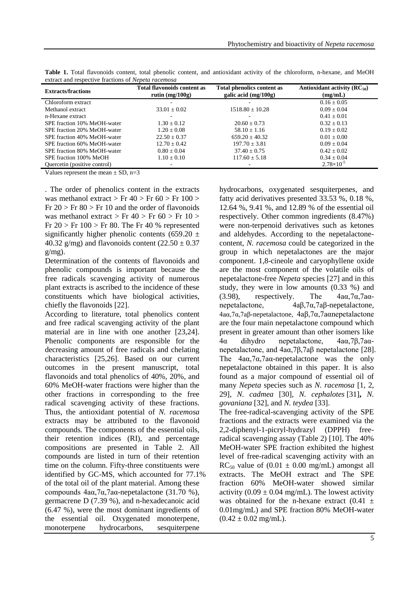| <b>Extracts/fractions</b>    | <b>Total flavonoids content as</b><br>rutin $(mg/100g)$ | <b>Total phenolics content as</b><br>galic acid $(mg/100g)$ | Antioxidant activity $(RC_{50})$<br>(mg/mL) |  |
|------------------------------|---------------------------------------------------------|-------------------------------------------------------------|---------------------------------------------|--|
| Chloroform extract           |                                                         |                                                             | $0.16 \pm 0.05$                             |  |
| Methanol extract             | $33.01 \pm 0.02$                                        | $1518.80 \pm 10.28$                                         | $0.09 + 0.04$                               |  |
| n-Hexane extract             |                                                         |                                                             | $0.41 + 0.01$                               |  |
| SPE fraction 10% MeOH-water  | $1.30 \pm 0.12$                                         | $20.60 \pm 0.73$                                            | $0.32 \pm 0.13$                             |  |
| SPE fraction 20% MeOH-water  | $1.20 + 0.08$                                           | $58.10 \pm 1.16$                                            | $0.19 + 0.02$                               |  |
| SPE fraction 40% MeOH-water  | $22.50 \pm 0.37$                                        | $659.20 \pm 40.32$                                          | $0.01 + 0.00$                               |  |
| SPE fraction 60% MeOH-water  | $12.70 \pm 0.42$                                        | $197.70 \pm 3.81$                                           | $0.09 \pm 0.04$                             |  |
| SPE fraction 80% MeOH-water  | $0.80 \pm 0.04$                                         | $37.40 \pm 0.75$                                            | $0.42 \pm 0.02$                             |  |
| SPE fraction 100% MeOH       | $1.10 \pm 0.10$                                         | $117.60 \pm 5.18$                                           | $0.34 \pm 0.04$                             |  |
| Quercetin (positive control) | $\overline{\phantom{a}}$                                |                                                             | $2.78\times10^{-5}$                         |  |

**Table 1.** Total flavonoids content, total phenolic content, and antioxidant activity of the chloroform, n-hexane, and MeOH extract and respective fractions of *Nepeta racemosa*

Values represent the mean  $\pm$  SD, n=3

. The order of phenolics content in the extracts was methanol extract  $>$  Fr 40  $>$  Fr 60  $>$  Fr 100  $>$ Fr  $20 > Fr 80 > Fr 10$  and the order of flavonoids was methanol extract  $>$  Fr 40  $>$  Fr 60  $>$  Fr 10  $>$ Fr  $20 > Fr$  100 > Fr 80. The Fr 40 % represented significantly higher phenolic contents (659.20  $\pm$ 40.32 g/mg) and flavonoids content  $(22.50 \pm 0.37)$  $g/mg$ ).

Determination of the contents of flavonoids and phenolic compounds is important because the free radicals scavenging activity of numerous plant extracts is ascribed to the incidence of these constituents which have biological activities, chiefly the flavonoids [22].

According to literature, total phenolics content and free radical scavenging activity of the plant material are in line with one another [23,24]. Phenolic components are responsible for the decreasing amount of free radicals and chelating characteristics [25,26]. Based on our current outcomes in the present manuscript, total flavonoids and total phenolics of 40%, 20%, and 60% MeOH-water fractions were higher than the other fractions in corresponding to the free radical scavenging activity of these fractions. Thus, the antioxidant potential of *N. racemosa* extracts may be attributed to the flavonoid compounds. The components of the essential oils, their retention indices (RI), and percentage compositions are presented in Table 2. All compounds are listed in turn of their retention time on the column. Fifty-three constituents were identified by GC-MS, which accounted for 77.1% of the total oil of the plant material. Among these compounds 4aα,7α,7aα-nepetalactone (31.70 %), germacrene D (7.39 %), and n-hexadecanoic acid (6.47 %), were the most dominant ingredients of the essential oil. Oxygenated monoterpene, monoterpene hydrocarbons, sesquiterpene

hydrocarbons, oxygenated sesquiterpenes, and fatty acid derivatives presented 33.53 %, 0.18 %, 12.64 %, 9.41 %, and 12.89 % of the essential oil respectively. Other common ingredients (8.47%) were non-terpenoid derivatives such as ketones and aldehydes. According to the nepetalactonecontent, *N. racemosa* could be categorized in the group in which nepetalactones are the major component. 1,8-cineole and caryophyllene oxide are the most component of the volatile oils of nepetalactone-free *Nepeta* species [27] and in this study, they were in low amounts (0.33 %) and (3.98), respectively. The  $4a\alpha,7\alpha,7a\alpha$ nepetalactone, 4aβ,7α,7aβ-nepetalactone, 4aα,7α,7aβ-nepetalactone, 4aβ,7α,7aαnepetalactone are the four main nepetalactone compound which present in greater amount than other isomers like 4α dihydro nepetalactone, 4aα,7β,7aαnepetalactone, and 4aα,7β,7aβ nepetalactone [28]. The  $4a\alpha$ ,  $7\alpha$ ,  $7a\alpha$ -nepetalactone was the only nepetalactone obtained in this paper. It is also found as a major compound of essential oil of many *Nepeta* species such as *N. racemosa* [1, 2, 29]*, N. cadmea* [30]*, N. cephalotes* [31]**,** *N. govaniana* [32], and *N. teydea* [33]. The free-radical-scavenging activity of the SPE

fractions and the extracts were examined via the 2,2-diphenyl-1-picryl-hydrazyl (DPPH) freeradical scavenging assay (Table 2) [10]. The 40% MeOH-water SPE fraction exhibited the highest level of free-radical scavenging activity with an  $RC_{50}$  value of  $(0.01 \pm 0.00 \text{ mg/mL})$  amongst all extracts. The MeOH extract and The SPE fraction 60% MeOH-water showed similar activity  $(0.09 \pm 0.04 \text{ mg/mL})$ . The lowest activity was obtained for the n-hexane extract  $(0.41 \pm$ 0.01mg/mL) and SPE fraction 80% MeOH-water  $(0.42 \pm 0.02 \text{ mg/mL}).$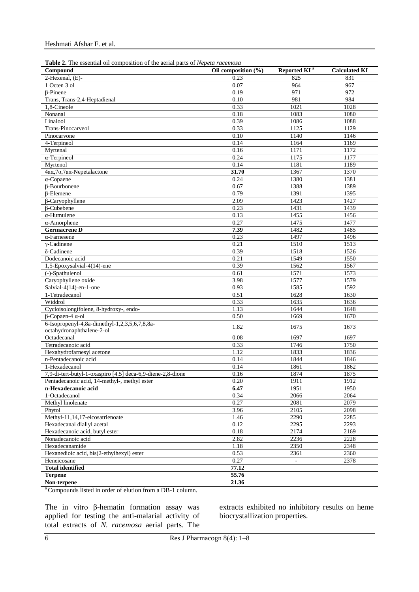| Table 2. The essential oil composition of the aerial parts of Nepeta racemosa |
|-------------------------------------------------------------------------------|
|-------------------------------------------------------------------------------|

| <b>Twore 2.</b> The essential on composition of the actual parts of respects racemosa<br>Compound | Oil composition $(\% )$ | Reported KI <sup>a</sup> | <b>Calculated KI</b> |
|---------------------------------------------------------------------------------------------------|-------------------------|--------------------------|----------------------|
| 2-Hexenal, (E)-                                                                                   | 0.23                    | 825                      | 831                  |
| 1 Octen 3 ol                                                                                      | 0.07                    | 964                      | 967                  |
| $\beta$ -Pinene                                                                                   | 0.19                    | 971                      | 972                  |
| Trans, Trans-2,4-Heptadienal                                                                      | 0.10                    | 981                      | 984                  |
| 1,8-Cineole                                                                                       | 0.33                    | 1021                     | 1028                 |
| Nonanal                                                                                           | 0.18                    | 1083                     | 1080                 |
| Linalool                                                                                          | 0.39                    | 1086                     | 1088                 |
| Trans-Pinocarveol                                                                                 | 0.33                    | 1125                     | 1129                 |
| Pinocarvone                                                                                       | 0.10                    | 1140                     | 1146                 |
| 4-Terpineol                                                                                       | 0.14                    | 1164                     | 1169                 |
| Myrtenal                                                                                          | 0.16                    | 1171                     | 1172                 |
| $\alpha$ -Terpineol                                                                               | 0.24                    | 1175                     | 1177                 |
| Myrtenol                                                                                          | 0.14                    | 1181                     | 1189                 |
| 4aα, 7α, 7aα-Nepetalactone                                                                        | 31.70                   | 1367                     | 1370                 |
| $\alpha$ -Copaene                                                                                 | 0.24                    | 1380                     | 1381                 |
| $\beta$ -Bourbonene                                                                               | 0.67                    | 1388                     | 1389                 |
| <b>B-Elemene</b>                                                                                  | 0.79                    | 1391                     | 1395                 |
| $\beta$ -Caryophyllene                                                                            | 2.09                    | 1423                     | 1427                 |
| $\beta$ -Cubebene                                                                                 | 0.23                    | 1431                     | 1439                 |
| $\alpha$ -Humulene                                                                                | 0.13                    | 1455                     | 1456                 |
| $\alpha$ -Amorphene                                                                               | 0.27                    | 1475                     | 1477                 |
| <b>Germacrene D</b>                                                                               | 7.39                    | 1482                     | 1485                 |
|                                                                                                   | 0.23                    |                          |                      |
| $\alpha$ -Farnesene                                                                               |                         | 1497                     | 1496                 |
| $\gamma$ -Cadinene                                                                                | 0.21                    | 1510                     | 1513                 |
| δ-Cadinene                                                                                        | 0.39                    | 1518                     | 1526                 |
| Dodecanoic acid                                                                                   | 0.21                    | 1549                     | 1550                 |
| 1,5-Epoxysalvial-4(14)-ene                                                                        | 0.39                    | 1562                     | 1567                 |
| $(-)$ -Spathulenol                                                                                | 0.61                    | 1571                     | 1573                 |
| Caryophyllene oxide                                                                               | 3.98                    | 1577                     | 1579                 |
| Salvial-4(14)-en-1-one                                                                            | 0.93                    | 1585                     | 1592                 |
| 1-Tetradecanol                                                                                    | 0.51                    | 1628                     | 1630                 |
| Widdrol                                                                                           | 0.33                    | 1635                     | 1636                 |
| Cycloisolongifolene, 8-hydroxy-, endo-                                                            | 1.13                    | 1644                     | 1648                 |
| $\beta$ -Copaen-4 $\alpha$ -ol                                                                    | 0.50                    | 1669                     | 1670                 |
| 6-Isopropenyl-4,8a-dimethyl-1,2,3,5,6,7,8,8a-<br>octahydronaphthalene-2-ol                        | 1.82                    | 1675                     | 1673                 |
| Octadecanal                                                                                       | 0.08                    | 1697                     | 1697                 |
| Tetradecanoic acid                                                                                | 0.33                    | 1746                     | 1750                 |
| Hexahydrofarnesyl acetone                                                                         | 1.12                    | 1833                     | 1836                 |
| n-Pentadecanoic acid                                                                              | 0.14                    | 1844                     | 1846                 |
| 1-Hexadecanol                                                                                     | 0.14                    | 1861                     | 1862                 |
| 7,9-di-tert-butyl-1-oxaspiro [4.5] deca-6,9-diene-2,8-dione                                       | 0.16                    | 1874                     | 1875                 |
| Pentadecanoic acid, 14-methyl-, methyl ester                                                      | 0.20                    | 1911                     | 1912                 |
| n-Hexadecanoic acid                                                                               | 6.47                    | 1951                     | 1950                 |
| 1-Octadecanol                                                                                     | 0.34                    | 2066                     | 2064                 |
| Methyl linolenate                                                                                 | 0.27                    | 2081                     | 2079                 |
| Phytol                                                                                            | 3.96                    | 2105                     | 2098                 |
| Methyl-11,14,17-eicosatrienoate                                                                   | 1.46                    | 2290                     | 2285                 |
| Hexadecanal diallyl acetal                                                                        | 0.12                    | 2295                     | 2293                 |
| Hexadecanoic acid, butyl ester                                                                    | 0.18                    | 2174                     | 2169                 |
| Nonadecanoic acid                                                                                 | 2.82                    | 2236                     | 2228                 |
| Hexadecanamide                                                                                    | 1.18                    | 2350                     | 2348                 |
| Hexanedioic acid, bis(2-ethylhexyl) ester                                                         | 0.53                    | 2361                     | 2360                 |
| Heneicosane                                                                                       | 0.27                    |                          | 2378                 |
| <b>Total identified</b>                                                                           | 77.12                   |                          |                      |
|                                                                                                   |                         |                          |                      |
| <b>Terpene</b>                                                                                    | 55.76                   |                          |                      |
| Non-terpene                                                                                       | 21.36                   |                          |                      |

<sup>a</sup>Compounds listed in order of elution from a DB-1 column.

The in vitro β-hematin formation assay was applied for testing the anti-malarial activity of total extracts of *N. racemosa* aerial parts. The extracts exhibited no inhibitory results on heme biocrystallization properties.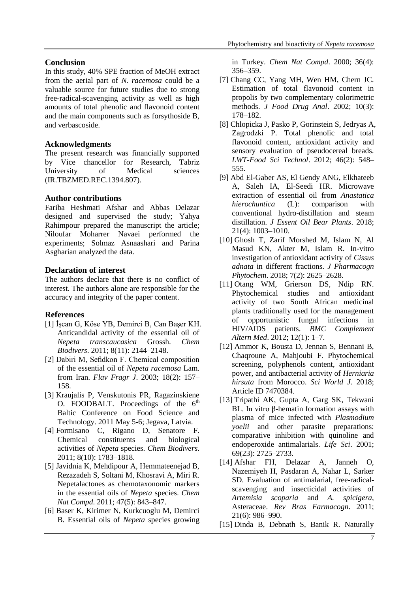## **Conclusion**

In this study, 40% SPE fraction of MeOH extract from the aerial part of *N. racemosa* could be a valuable source for future studies due to strong free-radical-scavenging activity as well as high amounts of total phenolic and flavonoid content and the main components such as forsythoside B, and verbascoside.

## **Acknowledgments**

The present research was financially supported by Vice chancellor for Research, Tabriz University of Medical sciences (IR.TBZMED.REC.1394.807).

## **Author contributions**

Fariba Heshmati Afshar and Abbas Delazar designed and supervised the study; Yahya Rahimpour prepared the manuscript the article; Niloufar Moharrer Navaei performed the experiments; Solmaz Asnaashari and Parina Asgharian analyzed the data.

## **Declaration of interest**

The authors declare that there is no conflict of interest. The authors alone are responsible for the accuracy and integrity of the paper content.

## **References**

- [1] İşcan G, Köse YB, Demirci B, Can Başer KH. Anticandidal activity of the essential oil of *Nepeta transcaucasica* Grossh. *Chem Biodivers*. 2011; 8(11): 2144–2148.
- [2] Dabiri M, Sefidkon F. Chemical composition of the essential oil of *Nepeta racemosa* Lam. from Iran. *Flav Fragr J*. 2003; 18(2): 157– 158.
- [3] Kraujalis P, Venskutonis PR, Ragazinskiene O. FOODBALT. Proceedings of the  $6<sup>th</sup>$ Baltic Conference on Food Science and Technology. 2011 May 5-6; Jegava, Latvia.
- [4] Formisano C, Rigano D, Senatore F. Chemical constituents and biological activities of *Nepeta* species. *Chem Biodivers*. 2011; 8(10): 1783–1818.
- [5] Javidnia K, Mehdipour A, Hemmateenejad B, Rezazadeh S, Soltani M, Khosravi A, Miri R. Nepetalactones as chemotaxonomic markers in the essential oils of *Nepeta* species. *Chem Nat Compd*. 2011; 47(5): 843–847.
- [6] Baser K, Kirimer N, Kurkcuoglu M, Demirci B. Essential oils of *Nepeta* species growing

in Turkey. *Chem Nat Compd*. 2000; 36(4): 356–359.

- [7] Chang CC, Yang MH, Wen HM, Chern JC. Estimation of total flavonoid content in propolis by two complementary colorimetric methods. *J Food Drug Anal*. 2002; 10(3): 178–182.
- [8] Chlopicka J, Pasko P, Gorinstein S, Jedryas A, Zagrodzki P. Total phenolic and total flavonoid content, antioxidant activity and sensory evaluation of pseudocereal breads. *LWT-Food Sci Technol*. 2012; 46(2): 548– 555.
- [9] Abd El-Gaber AS, El Gendy ANG, Elkhateeb A, Saleh IA, El-Seedi HR. Microwave extraction of essential oil from *Anastatica hierochuntica* (L): comparison with conventional hydro-distillation and steam distillation. *J Essent Oil Bear Plants*. 2018; 21(4): 1003–1010.
- [10] Ghosh T, Zarif Morshed M, Islam N, Al Masud KN, Akter M, Islam R. In-vitro investigation of antioxidant activity of *Cissus adnata* in different fractions. *J Pharmacogn Phytochem*. 2018; 7(2): 2625–2628.
- [11] Otang WM, Grierson DS, Ndip RN. Phytochemical studies and antioxidant activity of two South African medicinal plants traditionally used for the management of opportunistic fungal infections in HIV/AIDS patients. *BMC Complement Altern Med*. 2012; 12(1): 1–7.
- [12] Ammor K, Bousta D, Jennan S, Bennani B, Chaqroune A, Mahjoubi F. Phytochemical screening, polyphenols content, antioxidant power, and antibacterial activity of *Herniaria hirsuta* from Morocco. *Sci World J.* 2018; Article ID 7470384.
- [13] Tripathi AK, Gupta A, Garg SK, Tekwani BL. In vitro β-hematin formation assays with plasma of mice infected with *Plasmodium yoelii* and other parasite preparations: comparative inhibition with quinoline and endoperoxide antimalarials. *Life Sci*. 2001; 69(23): 2725–2733.
- [14] Afshar FH, Delazar A, Janneh O, Nazemiyeh H, Pasdaran A, Nahar L, Sarker SD. Evaluation of antimalarial, free-radicalscavenging and insecticidal activities of *Artemisia scoparia* and *A. spicigera*, Asteraceae. *Rev Bras Farmacogn*. 2011; 21(6): 986–990.
- [15] Dinda B, Debnath S, Banik R. Naturally